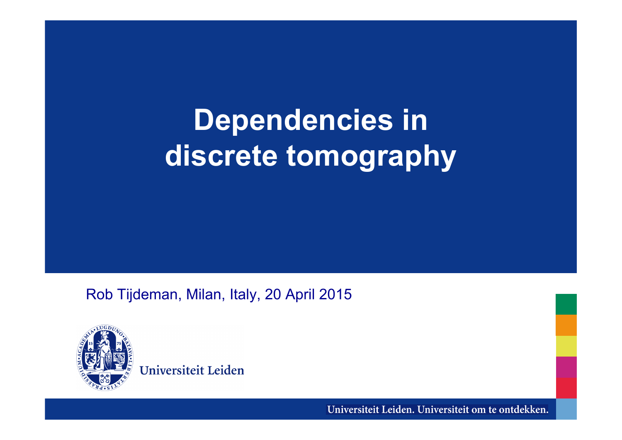# **Dependencies in discrete tomography**

Rob Tijdeman, Milan, Italy, 20 April 2015



Universiteit Leiden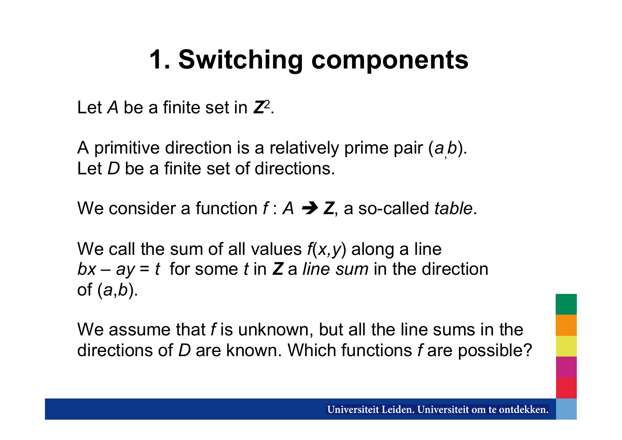# **1. Switching components**

Let *A* be a finite set in *Z*2.

A primitive direction is a relatively prime pair (*a*, *b*). Let *D* be a finite set of directions.

We consider a function  $f : A \rightarrow Z$ , a so-called *table*.

We call the sum of all values *f*(*x,y*) along a line *bx* – *ay* = *t* for some *t* in *Z* a *line sum* in the direction of (*a*,*b*).

We assume that *f* is unknown, but all the line sums in the directions of *D* are known. Which functions *f* are possible?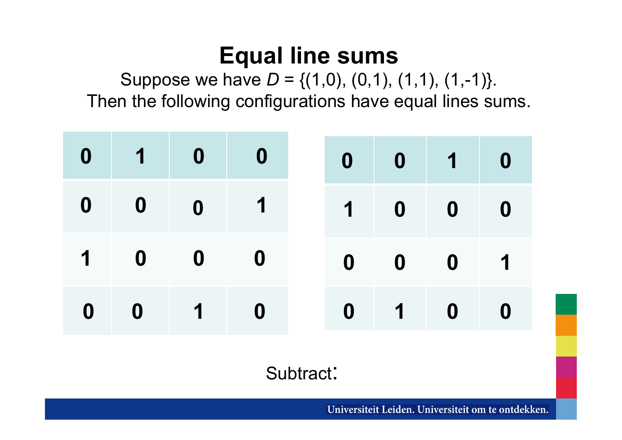### **Equal line sums**

Suppose we have  $D = \{(1,0), (0,1), (1,1), (1,-1)\}.$ Then the following configurations have equal lines sums.

| $0$ 1 0                                                     |                                          | $\begin{array}{ c c } \hline \quad \quad & \mathbf{0} \end{array}$ |  | 0 0 1 0                                                                                           |  |
|-------------------------------------------------------------|------------------------------------------|--------------------------------------------------------------------|--|---------------------------------------------------------------------------------------------------|--|
| 0 0                                                         | $\overline{\mathbf{0}}$                  | $\blacksquare$                                                     |  | $\begin{array}{c c c c c c} \hline \textbf{1} & \textbf{0} & \textbf{0} & \textbf{0} \end{array}$ |  |
| $\begin{array}{cccccccccc} 1 & & 0 & & 0 & & 0 \end{array}$ |                                          |                                                                    |  | $0$ 0 0 1                                                                                         |  |
| $0 \t 0$                                                    | $\begin{array}{ccc} & 1 & 0 \end{array}$ |                                                                    |  | $0$ 1 0 0                                                                                         |  |

Subtract: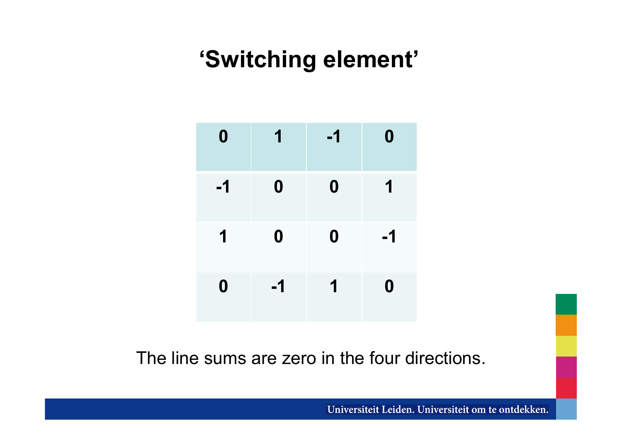### **'Switching element'**

| $\boldsymbol{0}$ | 1                | $-1$             | $\boldsymbol{0}$ |
|------------------|------------------|------------------|------------------|
| $-1$             | $\boldsymbol{0}$ | $\boldsymbol{0}$ | 1                |
| 1                | $\boldsymbol{0}$ | $\boldsymbol{0}$ | $-1$             |
| $\boldsymbol{0}$ | $-1$             | 1                | $\boldsymbol{0}$ |

The line sums are zero in the four directions.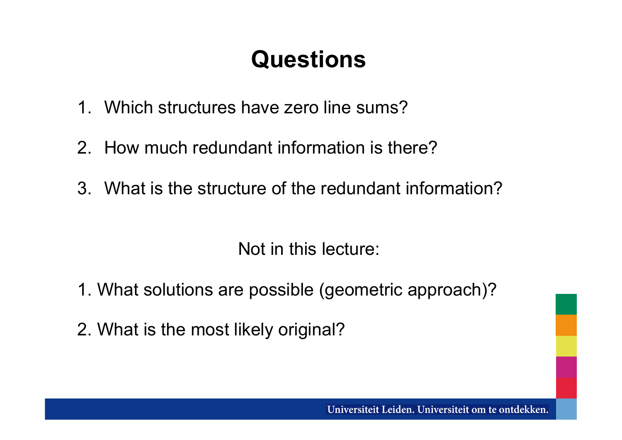### **Questions**

- 1. Which structures have zero line sums?
- 2. How much redundant information is there?
- 3. What is the structure of the redundant information?

Not in this lecture:

- 1. What solutions are possible (geometric approach)?
- 2. What is the most likely original?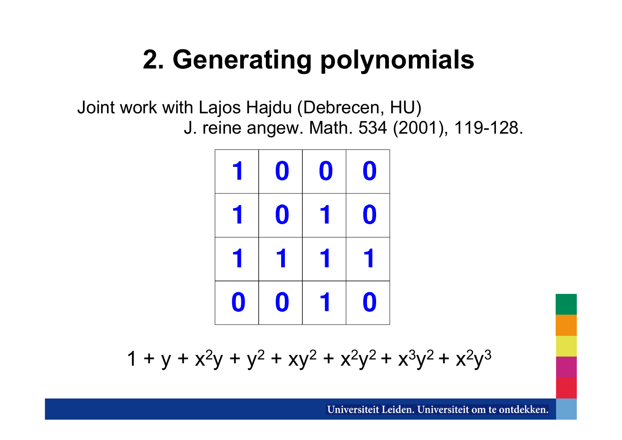# **2. Generating polynomials**

Joint work with Lajos Hajdu (Debrecen, HU) J. reine angew. Math. 534 (2001), 119-128.



 $1 + y + x^2y + y^2 + xy^2 + x^2y^2 + x^3y^2 + x^2y^3$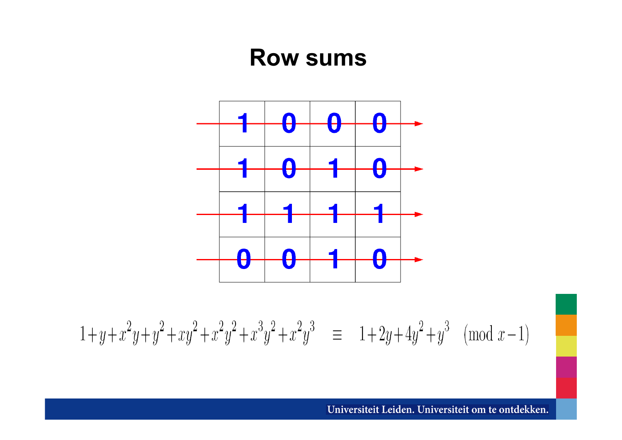#### **Row sums**



 $1+y+x^2y+y^2+xy^2+x^2y^2+x^3y^2+x^2y^3 \equiv 1+2y+4y^2+y^3 \pmod{x-1}$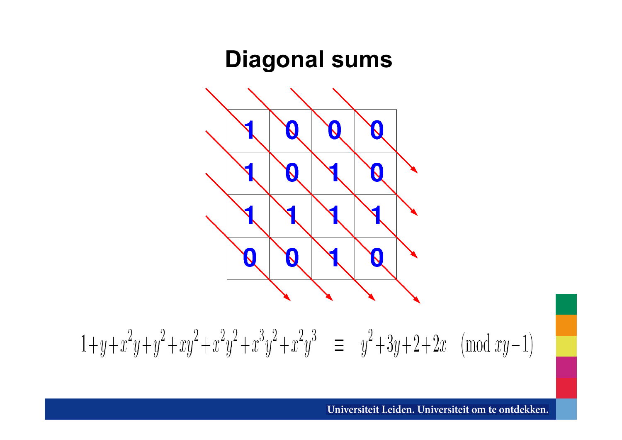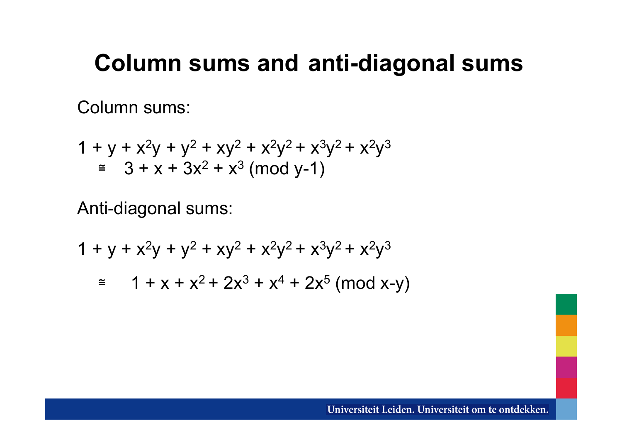#### **Column sums and anti-diagonal sums**

Column sums:

$$
1 + y + x2y + y2 + xy2 + x2y2 + x3y2 + x2y3
$$
  
\n
$$
\approx 3 + x + 3x2 + x3 \pmod{y-1}
$$

Anti-diagonal sums:

$$
1 + y + x2y + y2 + xy2 + x2y2 + x3y2 + x2y3
$$
  
\n
$$
\approx 1 + x + x2 + 2x3 + x4 + 2x5 \text{ (mod x-y)}
$$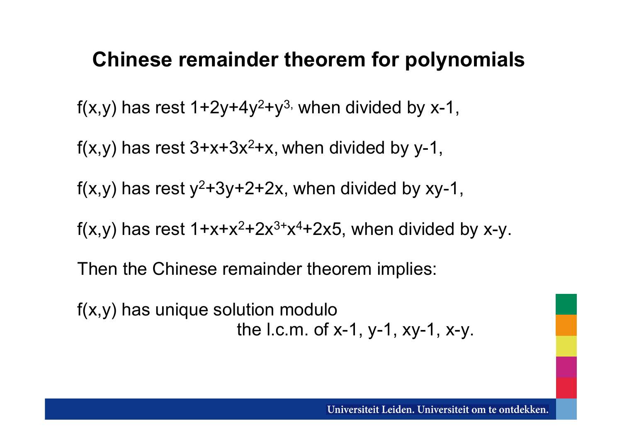#### **Chinese remainder theorem for polynomials**

 $f(x,y)$  has rest  $1+2y+4y^2+y^3$ , when divided by x-1,

 $f(x,y)$  has rest  $3+x+3x^2+x$ , when divided by y-1,

 $f(x,y)$  has rest  $y^2+3y+2+2x$ , when divided by xy-1,

f(x,y) has rest  $1+x+x^2+2x^3+x^4+2x5$ , when divided by x-y.

Then the Chinese remainder theorem implies:

f(x,y) has unique solution modulo the l.c.m. of  $x-1$ ,  $y-1$ ,  $xy-1$ ,  $x-y$ .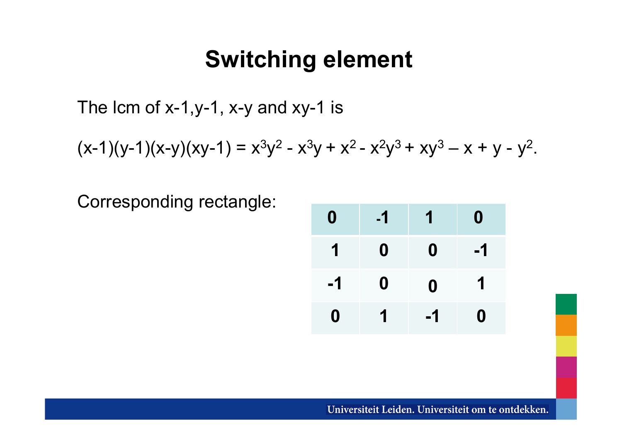#### **Switching element**

The lcm of x-1,y-1, x-y and xy-1 is

 $(x-1)(y-1)(x-y)(xy-1) = x<sup>3</sup>y<sup>2</sup> - x<sup>3</sup>y + x<sup>2</sup> - x<sup>2</sup>y<sup>3</sup> + xy<sup>3</sup> - x + y - y<sup>2</sup>$ .

Corresponding rectangle:

| 0    | $-1$ | 1                | 0  |
|------|------|------------------|----|
|      | 0    | 0                | -1 |
| $-1$ | 0    | $\boldsymbol{0}$ | 1  |
| 0    |      | -1               | 0  |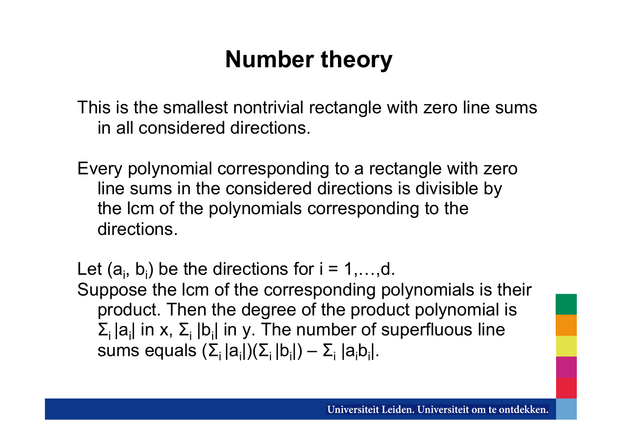### **Number theory**

This is the smallest nontrivial rectangle with zero line sums in all considered directions.

Every polynomial corresponding to a rectangle with zero line sums in the considered directions is divisible by the lcm of the polynomials corresponding to the directions.

Let  $(a_i, b_i)$  be the directions for  $i = 1, \ldots, d$ . Suppose the lcm of the corresponding polynomials is their product. Then the degree of the product polynomial is

 $\Sigma_i |a_i|$  in x,  $\Sigma_i |b_i|$  in y. The number of superfluous line sums equals  $(\Sigma_i |a_i|)(\Sigma_i |b_i|) - \Sigma_i |a_i b_i|.$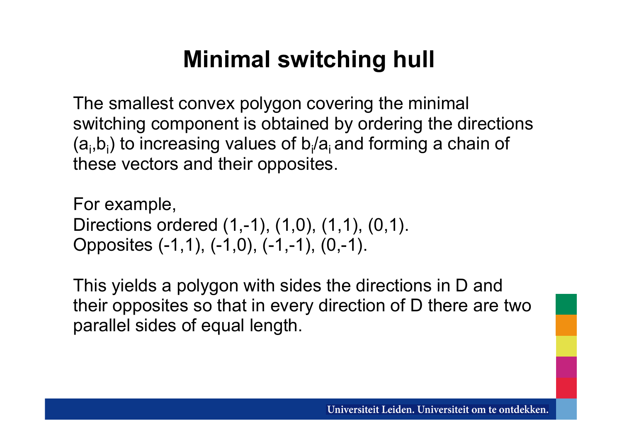### **Minimal switching hull**

The smallest convex polygon covering the minimal switching component is obtained by ordering the directions  $(a_i, b_i)$  to increasing values of  $b_i/a_i$  and forming a chain of these vectors and their opposites.

For example, Directions ordered (1,-1), (1,0), (1,1), (0,1). Opposites (-1,1), (-1,0), (-1,-1), (0,-1).

This yields a polygon with sides the directions in D and their opposites so that in every direction of D there are two parallel sides of equal length.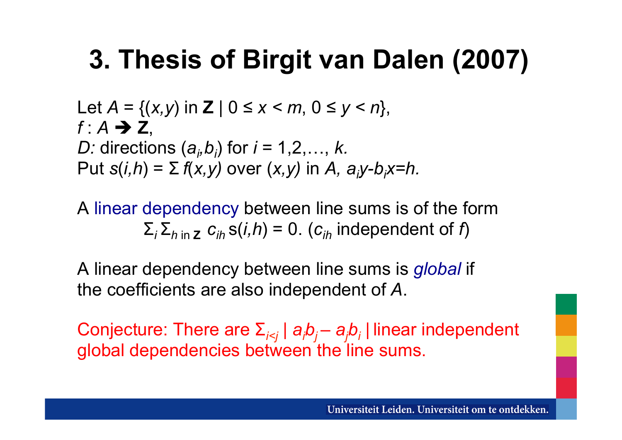# **3. Thesis of Birgit van Dalen (2007)**

Let  $A = \{(x, y) \text{ in } Z \mid 0 \le x \le m, 0 \le y \le n\},\$  $f: A \rightarrow Z$ *D:* directions  $(a_i, b_j)$  for  $i = 1, 2, ..., k$ . Put  $s(i,h) = \sum f(x,y)$  over  $(x,y)$  in A,  $a_jy-b_jx=h$ .

A linear dependency between line sums is of the form  $\Sigma_i$ ,  $\Sigma_{h}$  in **z**  $C_i$ ,  $S(i,h) = 0$ . ( $C_i$ , independent of *f*)

A linear dependency between line sums is *global* if the coefficients are also independent of *A*.

Conjecture: There are Σ*i<j* | *ai bj – aj bi |* linear independent global dependencies between the line sums.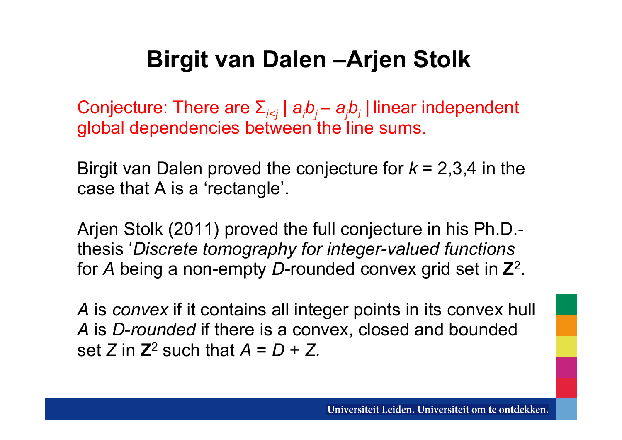### **Birgit van Dalen –Arjen Stolk**

Conjecture: There are Σ*i<j* | *ai bj – aj bi |* linear independent global dependencies between the line sums.

Birgit van Dalen proved the conjecture for *k* = 2,3,4 in the case that A is a 'rectangle'.

Arjen Stolk (2011) proved the full conjecture in his Ph.D. thesis '*Discrete tomography for integer-valued functions* for *A* being a non-empty *D*-rounded convex grid set in **Z**2.

*A* is *convex* if it contains all integer points in its convex hull *A* is *D*-*rounded* if there is a convex, closed and bounded set *Z* in  $\mathbb{Z}^2$  such that  $A = D + Z$ .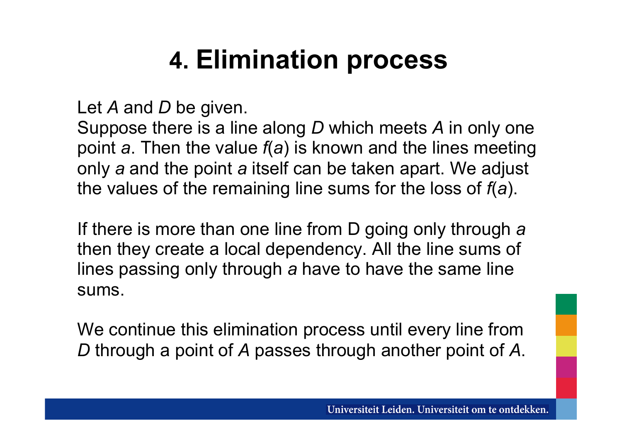# **4. Elimination process**

Let *A* and *D* be given.

Suppose there is a line along *D* which meets *A* in only one point *a*. Then the value *f*(*a*) is known and the lines meeting only *a* and the point *a* itself can be taken apart. We adjust the values of the remaining line sums for the loss of *f*(*a*).

If there is more than one line from D going only through *a* then they create a local dependency. All the line sums of lines passing only through *a* have to have the same line sums.

We continue this elimination process until every line from *D* through a point of *A* passes through another point of *A*.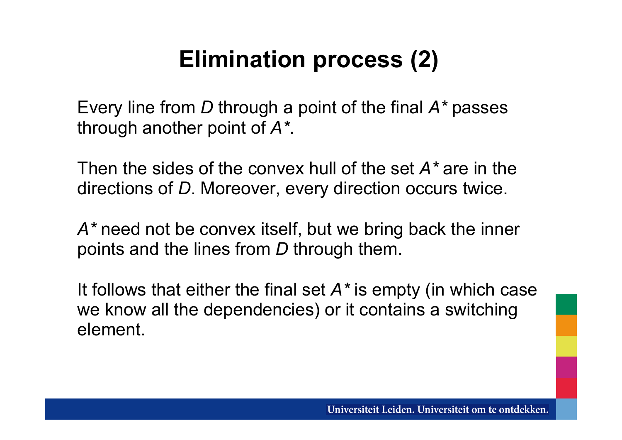### **Elimination process (2)**

Every line from *D* through a point of the final *A\** passes through another point of *A\**.

Then the sides of the convex hull of the set *A\** are in the directions of *D*. Moreover, every direction occurs twice.

*A\** need not be convex itself, but we bring back the inner points and the lines from *D* through them.

It follows that either the final set *A\** is empty (in which case we know all the dependencies) or it contains a switching element.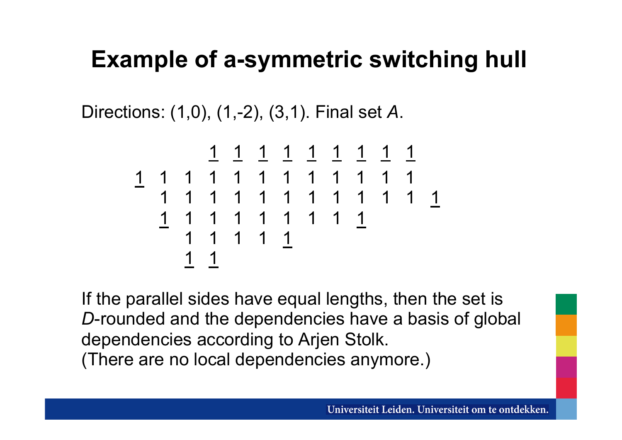### **Example of a-symmetric switching hull**

Directions: (1,0), (1,-2), (3,1). Final set *A*.

 1 1 1 1 1 1 1 1 1 1 1 1 1 1 1 1 1 1 1 1 1 1 1 1 1 1 1 1 1 1 1 1 1 1 1 1 1 1 1 1 1 1 1 1 1 1 1 1 1

If the parallel sides have equal lengths, then the set is *D*-rounded and the dependencies have a basis of global dependencies according to Arjen Stolk. (There are no local dependencies anymore.)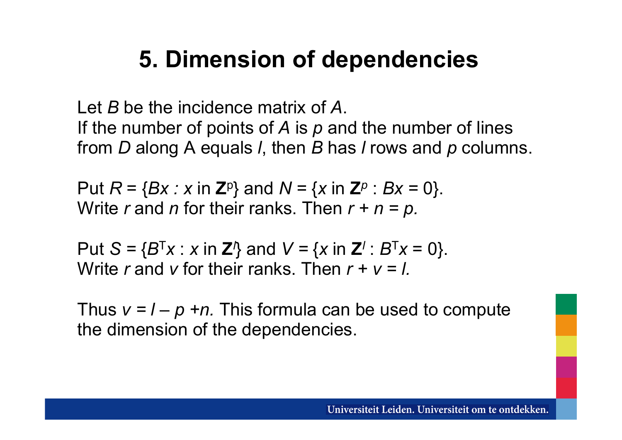### **5. Dimension of dependencies**

Let *B* be the incidence matrix of *A*. If the number of points of *A* is *p* and the number of lines from *D* along A equals *l*, then *B* has *l* rows and *p* columns.

Put  $R = \{Bx : x \in \mathbb{Z}^p\}$  and  $N = \{x \in \mathbb{Z}^p : Bx = 0\}.$ Write *r* and *n* for their ranks. Then  $r + n = p$ .

Put  $S = {B^{T}x : x \text{ in } \mathbb{Z}^1}$  and  $V = {x \text{ in } \mathbb{Z}^1 : B^{T}x = 0}.$ Write *r* and *v* for their ranks. Then  $r + v = l$ .

Thus  $v = l - p + n$ . This formula can be used to compute the dimension of the dependencies.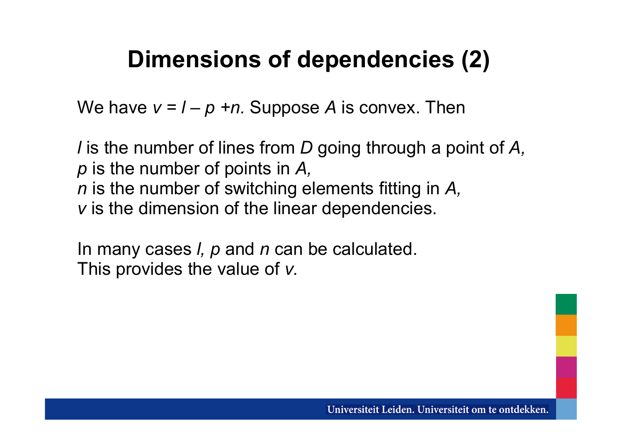### **Dimensions of dependencies (2)**

We have  $v = l - p + n$ . Suppose A is convex. Then

*l* is the number of lines from *D* going through a point of *A, p* is the number of points in *A, n* is the number of switching elements fitting in *A, v* is the dimension of the linear dependencies.

In many cases *l, p* and *n* can be calculated. This provides the value of *v.*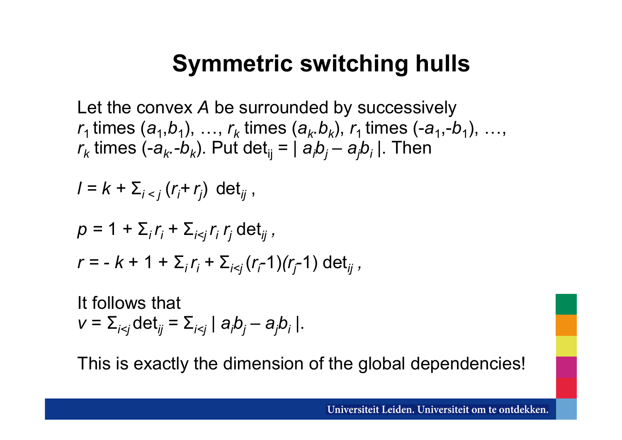### **Symmetric switching hulls**

Let the convex *A* be surrounded by successively  $r_1$  times  $(a_1, b_1), \ldots, r_k$  times  $(a_k, b_k), r_1$  times  $(-a_1, -b_1), \ldots,$ *r*<sub>k</sub> times (-*a<sub>k</sub>.-b<sub>k</sub>*). Put det<sub>ij</sub> = | *a<sub>i</sub>b<sub>j</sub> – a<sub>j</sub>b<sub>i</sub>* |. Then

$$
I = k + \sum_{i < j} (r_i + r_j) \det_{ij},
$$

$$
p = 1 + \sum_{i} r_{i} + \sum_{i < j} r_{i} r_{j} \det_{ij},
$$
\n
$$
r = -k + 1 + \sum_{i} r_{i} + \sum_{i < j} (r_{i} - 1)(r_{j} - 1) \det_{ij},
$$

It follows that  $v = \sum_{i \le j} \det_{ij} = \sum_{i \le j} |a_i b_j - a_j b_i|$ .

This is exactly the dimension of the global dependencies!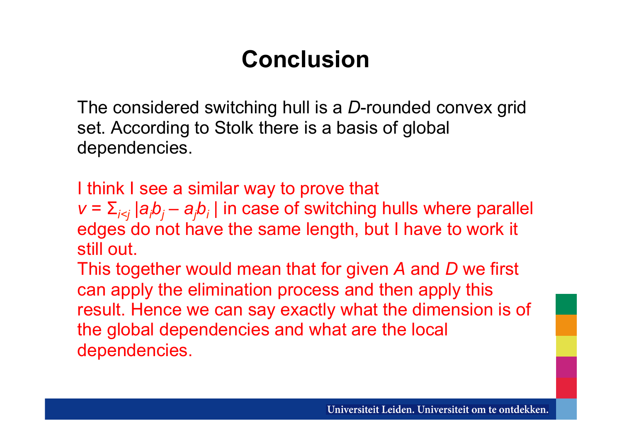### **Conclusion**

The considered switching hull is a *D*-rounded convex grid set. According to Stolk there is a basis of global dependencies.

I think I see a similar way to prove that  $v = \sum_{i \le j} |a_i b_j - a_j b_i|$  in case of switching hulls where parallel edges do not have the same length, but I have to work it still out.

This together would mean that for given *A* and *D* we first can apply the elimination process and then apply this result. Hence we can say exactly what the dimension is of the global dependencies and what are the local dependencies.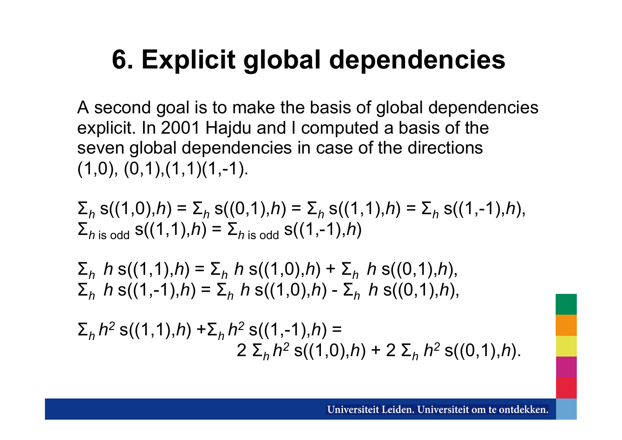# **6. Explicit global dependencies**

A second goal is to make the basis of global dependencies explicit. In 2001 Hajdu and I computed a basis of the seven global dependencies in case of the directions  $(1,0), (0,1), (1,1)(1,-1).$ 

$$
\Sigma_h s((1,0),h) = \Sigma_h s((0,1),h) = \Sigma_h s((1,1),h) = \Sigma_h s((1,-1),h),
$$
  
\Sigma\_{h \text{ is odd}} s((1,1),h) = \Sigma\_{h \text{ is odd}} s((1,-1),h)

$$
\Sigma_h h s((1,1),h) = \Sigma_h h s((1,0),h) + \Sigma_h h s((0,1),h),
$$
  
\n
$$
\Sigma_h h s((1,-1),h) = \Sigma_h h s((1,0),h) - \Sigma_h h s((0,1),h),
$$

$$
\Sigma_h h^2 s((1,1),h) + \Sigma_h h^2 s((1,-1),h) =
$$
  
2  $\Sigma_h h^2 s((1,0),h) + 2 \Sigma_h h^2 s((0,1),h).$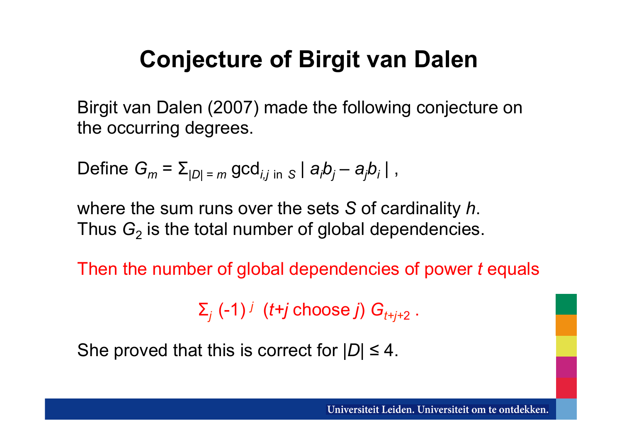### **Conjecture of Birgit van Dalen**

Birgit van Dalen (2007) made the following conjecture on the occurring degrees.

Define 
$$
G_m = \sum_{|D| = m} \gcd_{i,j \text{ in } S} |a_i b_j - a_j b_i|
$$
,

where the sum runs over the sets *S* of cardinality *h*. Thus  $G<sub>2</sub>$  is the total number of global dependencies.

Then the number of global dependencies of power *t* equals

 $\Sigma_j$  (-1)<sup>*j*</sup> (*t*+*j* choose *j*)  $G_{t+j+2}$ .

She proved that this is correct for  $|D| \leq 4$ .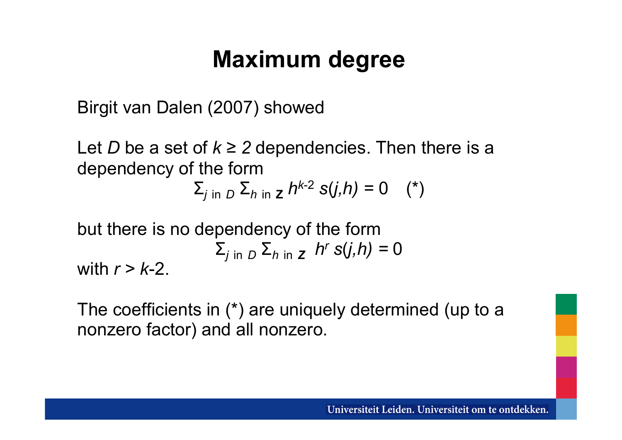### **Maximum degree**

Birgit van Dalen (2007) showed

Let *D* be a set of  $k \geq 2$  dependencies. Then there is a dependency of the form

 $\Sigma$ <sub>*j* in *D*  $\Sigma$ *h* in *z h*<sup>k-2</sup> *s*(*j,h*) = 0 (\*)</sub>

but there is no dependency of the form  
\n
$$
\sum_{j \text{ in } D} \sum_{h \text{ in } Z} h^r s(j,h) = 0
$$
\nwith  $r > k-2$ .

The coefficients in (\*) are uniquely determined (up to a nonzero factor) and all nonzero.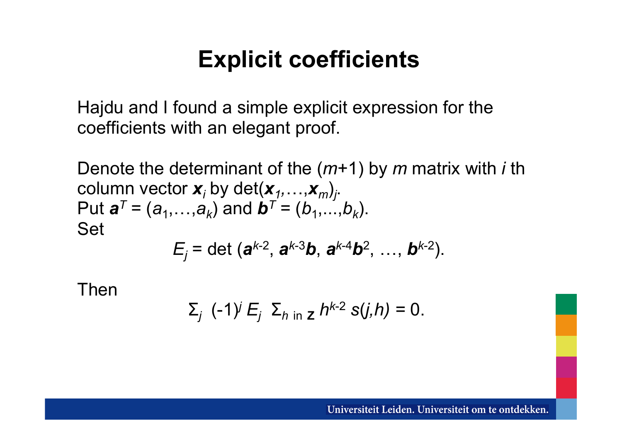### **Explicit coefficients**

Hajdu and I found a simple explicit expression for the coefficients with an elegant proof.

Denote the determinant of the (*m*+1) by *m* matrix with *i* th column vector  $\mathbf{x}_i$  by det $(\mathbf{x}_1, \ldots, \mathbf{x}_m)_j$ . Put  $a^T = (a_1, \ldots, a_k)$  and  $b^T = (b_1, \ldots, b_k)$ . Set

$$
E_j = \det(\mathbf{a}^{k-2}, \mathbf{a}^{k-3}\mathbf{b}, \mathbf{a}^{k-4}\mathbf{b}^2, ..., \mathbf{b}^{k-2}).
$$

Then

$$
\Sigma_j
$$
 (-1)<sup>*j*</sup> E<sub>*j*</sub>  $\Sigma_{h \text{ in } \mathbb{Z}} h^{k-2} s(j,h) = 0.$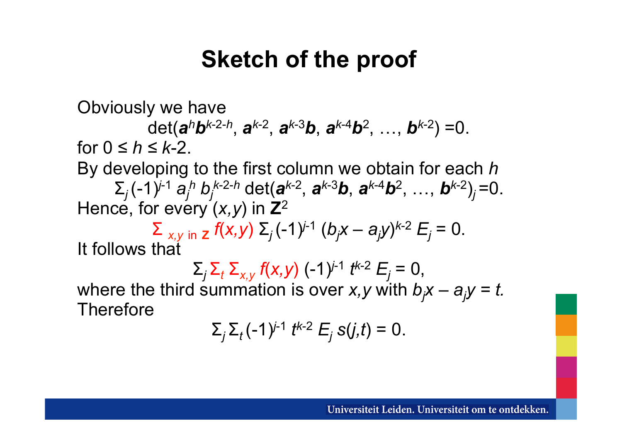### **Sketch of the proof**

Obviously we have det(*a<sup>h</sup>b<sup>k</sup>*-2-*<sup>h</sup>* , *a<sup>k</sup>*-2 , *a<sup>k</sup>*-3*b*, *a<sup>k</sup>*-4*b*<sup>2</sup> , …, *b<sup>k</sup>*-2) =0. for  $0 \leq h \leq k-2$ . By developing to the first column we obtain for each *h*   $\sum_j$   $(-1)^{j-1}$  *a<sub>j</sub> h*<sub>*h*</sub> $k$ -2-*h* det(*a*<sup> $k$ -2</sup>, *a*<sup> $k$ -3*b***</mark>,** *a***<sup>** $k$ **-4***b***<sup>2</sup>, …,** *b***<sup>** $k$ **-2</sup>)<sub>***j***</sub>=0.</sup>**</sup> Hence, for every (*x,y*) in **Z**<sup>2</sup>  $\sum$ <sub>*x,y* in **z** *f*(*x,y*) Σ<sub>*j*</sub>(−1)<sup>*j*-1</sup> (*b<sub>j</sub>x* − *a<sub>j</sub>y*)<sup>*k*-2</sup>  $E$ <sub>*j*</sub> = 0.</sub> It follows that

 $\Sigma_j$   $\Sigma_t$   $\Sigma_{x,y}$  *f*(*x,y*) (−1)<sup>*j*-1</sup> *t*<sup>*k*-2</sup>  $E_j$  = 0, where the third summation is over *x*, *y* with  $b_jx - a_jy = t$ . **Therefore** 

$$
\sum_j \sum_t (-1)^{j-1} t^{k-2} E_j \, s(j,t) = 0.
$$